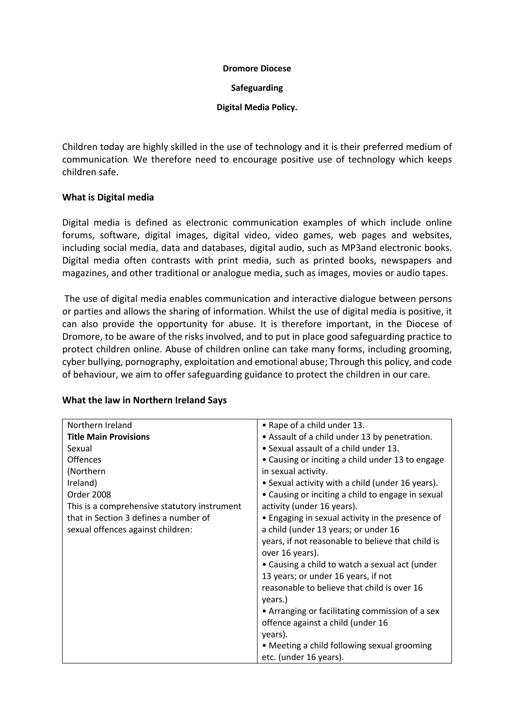#### **Dromore Diocese**

#### **Safeguarding**

#### **Digital Media Policy.**

Children today are highly skilled in the use of technology and it is their preferred medium of communication. We therefore need to encourage positive use of technology which keeps children safe.

#### **What is Digital media**

Digital media is defined as electronic communication examples of which include online forums, software, digital images, digital video, video games, web pages and websites, including social media, data and databases, digital audio, such as MP3and electronic books. Digital media often contrasts with print media, such as printed books, newspapers and magazines, and other traditional or analogue media, such as images, movies or audio tapes.

The use of digital media enables communication and interactive dialogue between persons or parties and allows the sharing of information. Whilst the use of digital media is positive, it can also provide the opportunity for abuse. It is therefore important, in the Diocese of Dromore, to be aware of the risks involved, and to put in place good safeguarding practice to protect children online. Abuse of children online can take many forms, including grooming, cyber bullying, pornography, exploitation and emotional abuse; Through this policy, and code of behaviour, we aim to offer safeguarding guidance to protect the children in our care.

| Northern Ireland                             | • Rape of a child under 13.                       |
|----------------------------------------------|---------------------------------------------------|
| <b>Title Main Provisions</b>                 | • Assault of a child under 13 by penetration.     |
| Sexual                                       | • Sexual assault of a child under 13.             |
| <b>Offences</b>                              | • Causing or inciting a child under 13 to engage  |
| (Northern                                    | in sexual activity.                               |
| Ireland)                                     | • Sexual activity with a child (under 16 years).  |
| Order 2008                                   | • Causing or inciting a child to engage in sexual |
| This is a comprehensive statutory instrument | activity (under 16 years).                        |
| that in Section 3 defines a number of        | • Engaging in sexual activity in the presence of  |
| sexual offences against children:            | a child (under 13 years; or under 16              |
|                                              | years, if not reasonable to believe that child is |
|                                              | over 16 years).                                   |
|                                              | • Causing a child to watch a sexual act (under    |
|                                              | 13 years; or under 16 years, if not               |
|                                              | reasonable to believe that child is over 16       |
|                                              | years.)                                           |
|                                              | • Arranging or facilitating commission of a sex   |
|                                              | offence against a child (under 16                 |
|                                              | years).                                           |
|                                              | • Meeting a child following sexual grooming       |
|                                              | etc. (under 16 years).                            |

#### **What the law in Northern Ireland Says**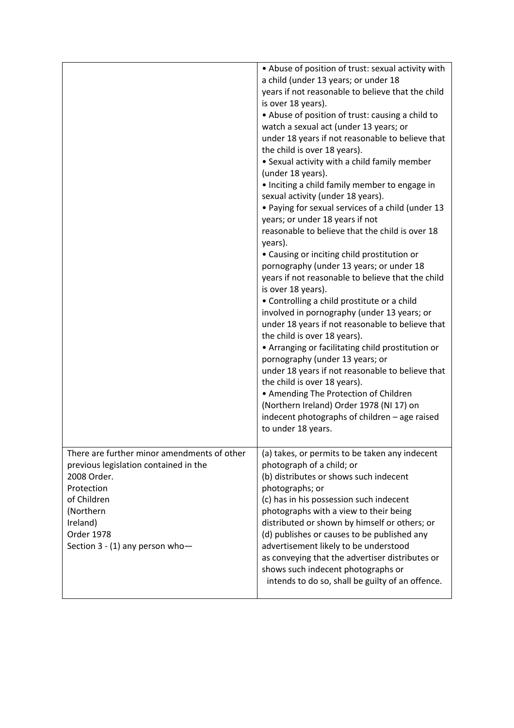|                                                                                                                                                                                                            | • Abuse of position of trust: sexual activity with<br>a child (under 13 years; or under 18<br>years if not reasonable to believe that the child<br>is over 18 years).<br>• Abuse of position of trust: causing a child to<br>watch a sexual act (under 13 years; or<br>under 18 years if not reasonable to believe that<br>the child is over 18 years).<br>• Sexual activity with a child family member<br>(under 18 years).<br>· Inciting a child family member to engage in<br>sexual activity (under 18 years).<br>• Paying for sexual services of a child (under 13<br>years; or under 18 years if not<br>reasonable to believe that the child is over 18<br>years).<br>• Causing or inciting child prostitution or<br>pornography (under 13 years; or under 18<br>years if not reasonable to believe that the child<br>is over 18 years).<br>• Controlling a child prostitute or a child<br>involved in pornography (under 13 years; or<br>under 18 years if not reasonable to believe that<br>the child is over 18 years).<br>• Arranging or facilitating child prostitution or<br>pornography (under 13 years; or<br>under 18 years if not reasonable to believe that<br>the child is over 18 years).<br>• Amending The Protection of Children<br>(Northern Ireland) Order 1978 (NI 17) on<br>indecent photographs of children - age raised<br>to under 18 years. |
|------------------------------------------------------------------------------------------------------------------------------------------------------------------------------------------------------------|--------------------------------------------------------------------------------------------------------------------------------------------------------------------------------------------------------------------------------------------------------------------------------------------------------------------------------------------------------------------------------------------------------------------------------------------------------------------------------------------------------------------------------------------------------------------------------------------------------------------------------------------------------------------------------------------------------------------------------------------------------------------------------------------------------------------------------------------------------------------------------------------------------------------------------------------------------------------------------------------------------------------------------------------------------------------------------------------------------------------------------------------------------------------------------------------------------------------------------------------------------------------------------------------------------------------------------------------------------------------------|
| There are further minor amendments of other<br>previous legislation contained in the<br>2008 Order.<br>Protection<br>of Children<br>(Northern<br>Ireland)<br>Order 1978<br>Section 3 - (1) any person who- | (a) takes, or permits to be taken any indecent<br>photograph of a child; or<br>(b) distributes or shows such indecent<br>photographs; or<br>(c) has in his possession such indecent<br>photographs with a view to their being<br>distributed or shown by himself or others; or<br>(d) publishes or causes to be published any<br>advertisement likely to be understood<br>as conveying that the advertiser distributes or<br>shows such indecent photographs or<br>intends to do so, shall be guilty of an offence.                                                                                                                                                                                                                                                                                                                                                                                                                                                                                                                                                                                                                                                                                                                                                                                                                                                      |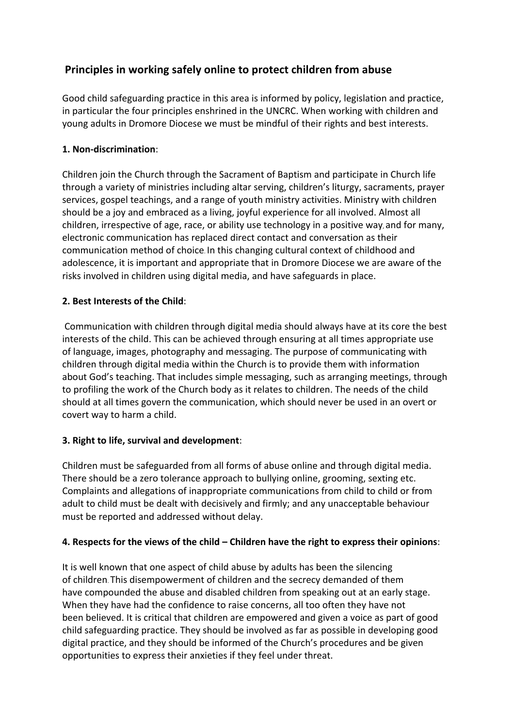# **Principles in working safely online to protect children from abuse**

Good child safeguarding practice in this area is informed by policy, legislation and practice, in particular the four principles enshrined in the UNCRC. When working with children and young adults in Dromore Diocese we must be mindful of their rights and best interests.

### **1. Non-discrimination**:

Children join the Church through the Sacrament of Baptism and participate in Church life through a variety of ministries including altar serving, children's liturgy, sacraments, prayer services, gospel teachings, and a range of youth ministry activities. Ministry with children should be a joy and embraced as a living, joyful experience for all involved. Almost all children, irrespective of age, race, or ability use technology in a positive way, and for many, electronic communication has replaced direct contact and conversation as their communication method of choice. In this changing cultural context of childhood and adolescence, it is important and appropriate that in Dromore Diocese we are aware of the risks involved in children using digital media, and have safeguards in place.

### **2. Best Interests of the Child**:

Communication with children through digital media should always have at its core the best interests of the child. This can be achieved through ensuring at all times appropriate use of language, images, photography and messaging. The purpose of communicating with children through digital media within the Church is to provide them with information about God's teaching. That includes simple messaging, such as arranging meetings, through to profiling the work of the Church body as it relates to children. The needs of the child should at all times govern the communication, which should never be used in an overt or covert way to harm a child.

# **3. Right to life, survival and development**:

Children must be safeguarded from all forms of abuse online and through digital media. There should be a zero tolerance approach to bullying online, grooming, sexting etc. Complaints and allegations of inappropriate communications from child to child or from adult to child must be dealt with decisively and firmly; and any unacceptable behaviour must be reported and addressed without delay.

### **4. Respects for the views of the child – Children have the right to express their opinions**:

It is well known that one aspect of child abuse by adults has been the silencing of children. This disempowerment of children and the secrecy demanded of them have compounded the abuse and disabled children from speaking out at an early stage. When they have had the confidence to raise concerns, all too often they have not been believed. It is critical that children are empowered and given a voice as part of good child safeguarding practice. They should be involved as far as possible in developing good digital practice, and they should be informed of the Church's procedures and be given opportunities to express their anxieties if they feel under threat.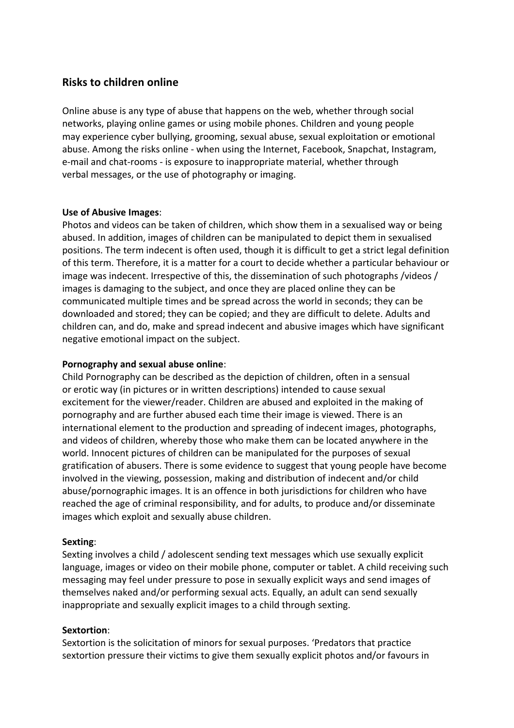### **Risks to children online**

Online abuse is any type of abuse that happens on the web, whether through social networks, playing online games or using mobile phones. Children and young people may experience cyber bullying, grooming, sexual abuse, sexual exploitation or emotional abuse. Among the risks online - when using the Internet, Facebook, Snapchat, Instagram, e-mail and chat-rooms - is exposure to inappropriate material, whether through verbal messages, or the use of photography or imaging.

### **Use of Abusive Images**:

Photos and videos can be taken of children, which show them in a sexualised way or being abused. In addition, images of children can be manipulated to depict them in sexualised positions. The term indecent is often used, though it is difficult to get a strict legal definition of this term. Therefore, it is a matter for a court to decide whether a particular behaviour or image was indecent. Irrespective of this, the dissemination of such photographs /videos / images is damaging to the subject, and once they are placed online they can be communicated multiple times and be spread across the world in seconds; they can be downloaded and stored; they can be copied; and they are difficult to delete. Adults and children can, and do, make and spread indecent and abusive images which have significant negative emotional impact on the subject.

### **Pornography and sexual abuse online**:

Child Pornography can be described as the depiction of children, often in a sensual or erotic way (in pictures or in written descriptions) intended to cause sexual excitement for the viewer/reader. Children are abused and exploited in the making of pornography and are further abused each time their image is viewed. There is an international element to the production and spreading of indecent images, photographs, and videos of children, whereby those who make them can be located anywhere in the world. Innocent pictures of children can be manipulated for the purposes of sexual gratification of abusers. There is some evidence to suggest that young people have become involved in the viewing, possession, making and distribution of indecent and/or child abuse/pornographic images. It is an offence in both jurisdictions for children who have reached the age of criminal responsibility, and for adults, to produce and/or disseminate images which exploit and sexually abuse children.

#### **Sexting**:

Sexting involves a child / adolescent sending text messages which use sexually explicit language, images or video on their mobile phone, computer or tablet. A child receiving such messaging may feel under pressure to pose in sexually explicit ways and send images of themselves naked and/or performing sexual acts. Equally, an adult can send sexually inappropriate and sexually explicit images to a child through sexting.

#### **Sextortion**:

Sextortion is the solicitation of minors for sexual purposes. 'Predators that practice sextortion pressure their victims to give them sexually explicit photos and/or favours in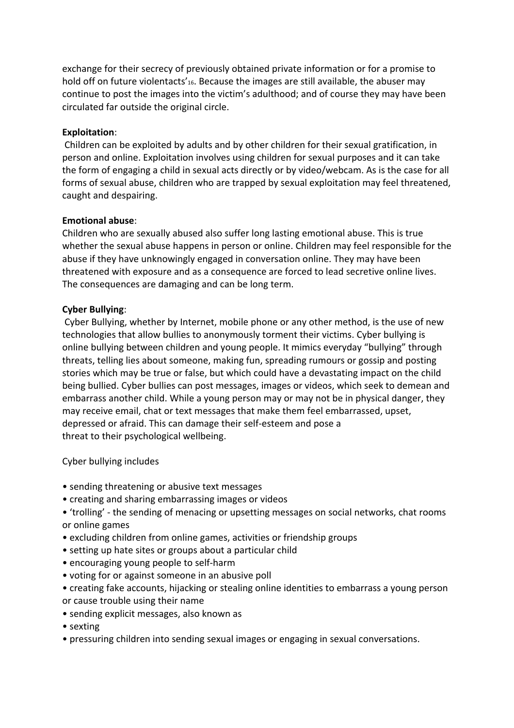exchange for their secrecy of previously obtained private information or for a promise to hold off on future violentacts'<sub>16</sub>. Because the images are still available, the abuser may continue to post the images into the victim's adulthood; and of course they may have been circulated far outside the original circle.

#### **Exploitation**:

Children can be exploited by adults and by other children for their sexual gratification, in person and online. Exploitation involves using children for sexual purposes and it can take the form of engaging a child in sexual acts directly or by video/webcam. As is the case for all forms of sexual abuse, children who are trapped by sexual exploitation may feel threatened, caught and despairing.

### **Emotional abuse**:

Children who are sexually abused also suffer long lasting emotional abuse. This is true whether the sexual abuse happens in person or online. Children may feel responsible for the abuse if they have unknowingly engaged in conversation online. They may have been threatened with exposure and as a consequence are forced to lead secretive online lives. The consequences are damaging and can be long term.

### **Cyber Bullying**:

Cyber Bullying, whether by Internet, mobile phone or any other method, is the use of new technologies that allow bullies to anonymously torment their victims. Cyber bullying is online bullying between children and young people. It mimics everyday "bullying" through threats, telling lies about someone, making fun, spreading rumours or gossip and posting stories which may be true or false, but which could have a devastating impact on the child being bullied. Cyber bullies can post messages, images or videos, which seek to demean and embarrass another child. While a young person may or may not be in physical danger, they may receive email, chat or text messages that make them feel embarrassed, upset, depressed or afraid. This can damage their self-esteem and pose a threat to their psychological wellbeing.

### Cyber bullying includes

- sending threatening or abusive text messages
- creating and sharing embarrassing images or videos
- 'trolling' the sending of menacing or upsetting messages on social networks, chat rooms or online games
- excluding children from online games, activities or friendship groups
- setting up hate sites or groups about a particular child
- encouraging young people to self-harm
- voting for or against someone in an abusive poll
- creating fake accounts, hijacking or stealing online identities to embarrass a young person or cause trouble using their name
- sending explicit messages, also known as
- sexting
- pressuring children into sending sexual images or engaging in sexual conversations.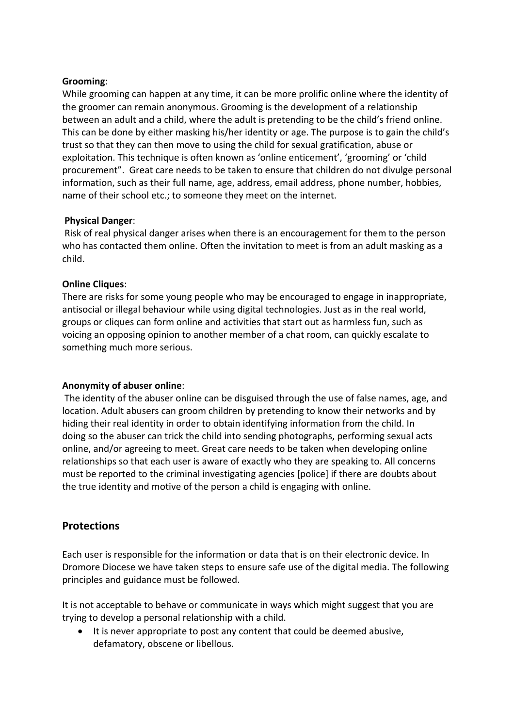### **Grooming**:

While grooming can happen at any time, it can be more prolific online where the identity of the groomer can remain anonymous. Grooming is the development of a relationship between an adult and a child, where the adult is pretending to be the child's friend online. This can be done by either masking his/her identity or age. The purpose is to gain the child's trust so that they can then move to using the child for sexual gratification, abuse or exploitation. This technique is often known as 'online enticement', 'grooming' or 'child procurement". Great care needs to be taken to ensure that children do not divulge personal information, such as their full name, age, address, email address, phone number, hobbies, name of their school etc.; to someone they meet on the internet.

### **Physical Danger**:

Risk of real physical danger arises when there is an encouragement for them to the person who has contacted them online. Often the invitation to meet is from an adult masking as a child.

### **Online Cliques**:

There are risks for some young people who may be encouraged to engage in inappropriate, antisocial or illegal behaviour while using digital technologies. Just as in the real world, groups or cliques can form online and activities that start out as harmless fun, such as voicing an opposing opinion to another member of a chat room, can quickly escalate to something much more serious.

### **Anonymity of abuser online**:

The identity of the abuser online can be disguised through the use of false names, age, and location. Adult abusers can groom children by pretending to know their networks and by hiding their real identity in order to obtain identifying information from the child. In doing so the abuser can trick the child into sending photographs, performing sexual acts online, and/or agreeing to meet. Great care needs to be taken when developing online relationships so that each user is aware of exactly who they are speaking to. All concerns must be reported to the criminal investigating agencies [police] if there are doubts about the true identity and motive of the person a child is engaging with online.

# **Protections**

Each user is responsible for the information or data that is on their electronic device. In Dromore Diocese we have taken steps to ensure safe use of the digital media. The following principles and guidance must be followed.

It is not acceptable to behave or communicate in ways which might suggest that you are trying to develop a personal relationship with a child.

• It is never appropriate to post any content that could be deemed abusive, defamatory, obscene or libellous.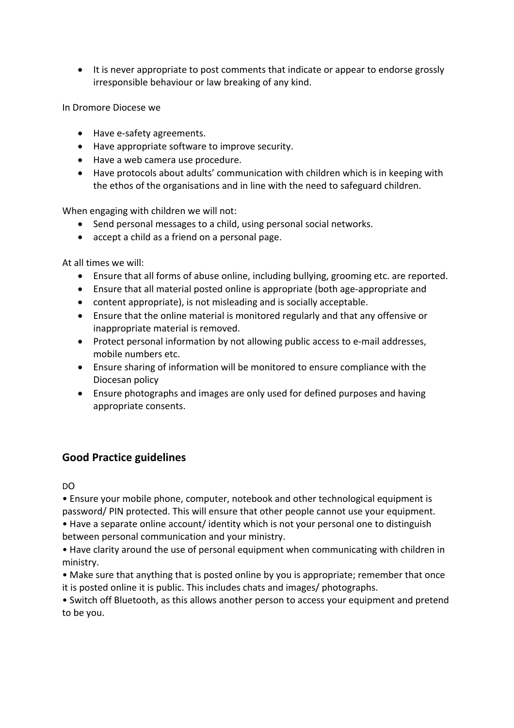• It is never appropriate to post comments that indicate or appear to endorse grossly irresponsible behaviour or law breaking of any kind.

In Dromore Diocese we

- Have e-safety agreements.
- Have appropriate software to improve security.
- Have a web camera use procedure.
- Have protocols about adults' communication with children which is in keeping with the ethos of the organisations and in line with the need to safeguard children.

When engaging with children we will not:

- Send personal messages to a child, using personal social networks.
- accept a child as a friend on a personal page.

At all times we will:

- Ensure that all forms of abuse online, including bullying, grooming etc. are reported.
- Ensure that all material posted online is appropriate (both age-appropriate and
- content appropriate), is not misleading and is socially acceptable.
- Ensure that the online material is monitored regularly and that any offensive or inappropriate material is removed.
- Protect personal information by not allowing public access to e-mail addresses, mobile numbers etc.
- Ensure sharing of information will be monitored to ensure compliance with the Diocesan policy
- Ensure photographs and images are only used for defined purposes and having appropriate consents.

# **Good Practice guidelines**

DO

• Ensure your mobile phone, computer, notebook and other technological equipment is password/ PIN protected. This will ensure that other people cannot use your equipment.

• Have a separate online account/ identity which is not your personal one to distinguish between personal communication and your ministry.

• Have clarity around the use of personal equipment when communicating with children in ministry.

• Make sure that anything that is posted online by you is appropriate; remember that once it is posted online it is public. This includes chats and images/ photographs.

• Switch off Bluetooth, as this allows another person to access your equipment and pretend to be you.